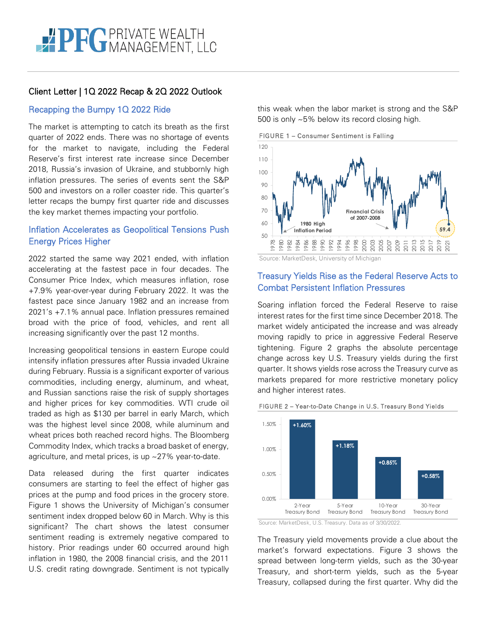# Client Letter | 1Q 2022 Recap & 2Q 2022 Outlook

# Recapping the Bumpy 1Q 2022 Ride

The market is attempting to catch its breath as the first quarter of 2022 ends. There was no shortage of events for the market to navigate, including the Federal Reserve's first interest rate increase since December 2018, Russia's invasion of Ukraine, and stubbornly high inflation pressures. The series of events sent the S&P 500 and investors on a roller coaster ride. This quarter's letter recaps the bumpy first quarter ride and discusses the key market themes impacting your portfolio.

# Inflation Accelerates as Geopolitical Tensions Push Energy Prices Higher

2022 started the same way 2021 ended, with inflation accelerating at the fastest pace in four decades. The Consumer Price Index, which measures inflation, rose +7.9% year-over-year during February 2022. It was the fastest pace since January 1982 and an increase from 2021's +7.1% annual pace. Inflation pressures remained broad with the price of food, vehicles, and rent all increasing significantly over the past 12 months.

Increasing geopolitical tensions in eastern Europe could intensify inflation pressures after Russia invaded Ukraine during February. Russia is a significant exporter of various commodities, including energy, aluminum, and wheat, and Russian sanctions raise the risk of supply shortages and higher prices for key commodities. WTI crude oil traded as high as \$130 per barrel in early March, which was the highest level since 2008, while aluminum and wheat prices both reached record highs. The Bloomberg Commodity Index, which tracks a broad basket of energy, agriculture, and metal prices, is up ~27% year-to-date.

Data released during the first quarter indicates consumers are starting to feel the effect of higher gas prices at the pump and food prices in the grocery store. Figure 1 shows the University of Michigan's consumer sentiment index dropped below 60 in March. Why is this significant? The chart shows the latest consumer sentiment reading is extremely negative compared to history. Prior readings under 60 occurred around high inflation in 1980, the 2008 financial crisis, and the 2011 U.S. credit rating downgrade. Sentiment is not typically this weak when the labor market is strong and the S&P 500 is only ~5% below its record closing high.

FIGURE 1 – Consumer Sentiment is Falling



Source: MarketDesk, University of Michigan

# Treasury Yields Rise as the Federal Reserve Acts to Combat Persistent Inflation Pressures

Soaring inflation forced the Federal Reserve to raise interest rates for the first time since December 2018. The market widely anticipated the increase and was already moving rapidly to price in aggressive Federal Reserve tightening. Figure 2 graphs the absolute percentage change across key U.S. Treasury yields during the first quarter. It shows yields rose across the Treasury curve as markets prepared for more restrictive monetary policy and higher interest rates.



### FIGURE 2 – Year-to-Date Change in U.S. Treasury Bond Yields

Source: MarketDesk, U.S. Treasury. Data as of 3/30/2022.

The Treasury yield movements provide a clue about the market's forward expectations. Figure 3 shows the spread between long-term yields, such as the 30-year Treasury, and short-term yields, such as the 5-year Treasury, collapsed during the first quarter. Why did the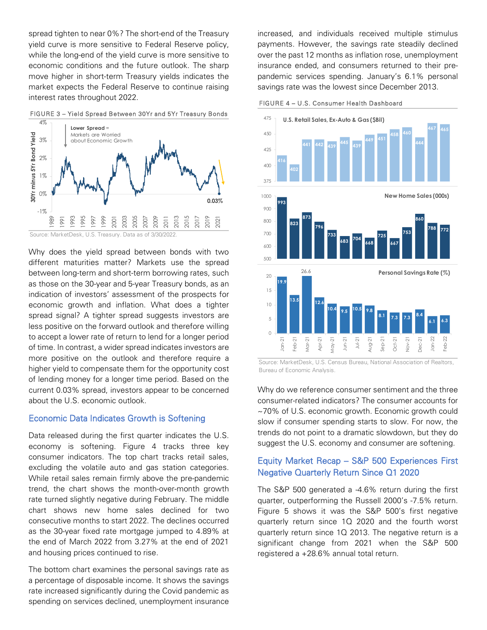spread tighten to near 0%? The short-end of the Treasury yield curve is more sensitive to Federal Reserve policy, while the long-end of the yield curve is more sensitive to economic conditions and the future outlook. The sharp move higher in short-term Treasury yields indicates the market expects the Federal Reserve to continue raising interest rates throughout 2022.





Source: MarketDesk, U.S. Treasury. Data as of 3/30/2022.

Why does the yield spread between bonds with two different maturities matter? Markets use the spread between long-term and short-term borrowing rates, such as those on the 30-year and 5-year Treasury bonds, as an indication of investors' assessment of the prospects for economic growth and inflation. What does a tighter spread signal? A tighter spread suggests investors are less positive on the forward outlook and therefore willing to accept a lower rate of return to lend for a longer period of time. In contrast, a wider spread indicates investors are more positive on the outlook and therefore require a higher yield to compensate them for the opportunity cost of lending money for a longer time period. Based on the current 0.03% spread, investors appear to be concerned about the U.S. economic outlook.

### Economic Data Indicates Growth is Softening

Data released during the first quarter indicates the U.S. economy is softening. Figure 4 tracks three key consumer indicators. The top chart tracks retail sales, excluding the volatile auto and gas station categories. While retail sales remain firmly above the pre-pandemic trend, the chart shows the month-over-month growth rate turned slightly negative during February. The middle chart shows new home sales declined for two consecutive months to start 2022. The declines occurred as the 30-year fixed rate mortgage jumped to 4.89% at the end of March 2022 from 3.27% at the end of 2021 and housing prices continued to rise.

The bottom chart examines the personal savings rate as a percentage of disposable income. It shows the savings rate increased significantly during the Covid pandemic as spending on services declined, unemployment insurance

increased, and individuals received multiple stimulus payments. However, the savings rate steadily declined over the past 12 months as inflation rose, unemployment insurance ended, and consumers returned to their prepandemic services spending. January's 6.1% personal savings rate was the lowest since December 2013.





Source: MarketDesk, U.S. Census Bureau, National Association of Realtors, Bureau of Economic Analysis.

Why do we reference consumer sentiment and the three consumer-related indicators? The consumer accounts for ~70% of U.S. economic growth. Economic growth could slow if consumer spending starts to slow. For now, the trends do not point to a dramatic slowdown, but they do suggest the U.S. economy and consumer are softening.

# Equity Market Recap – S&P 500 Experiences First Negative Quarterly Return Since Q1 2020

The S&P 500 generated a -4.6% return during the first quarter, outperforming the Russell 2000's -7.5% return. Figure 5 shows it was the S&P 500's first negative quarterly return since 1Q 2020 and the fourth worst quarterly return since 1Q 2013. The negative return is a significant change from 2021 when the S&P 500 registered a +28.6% annual total return.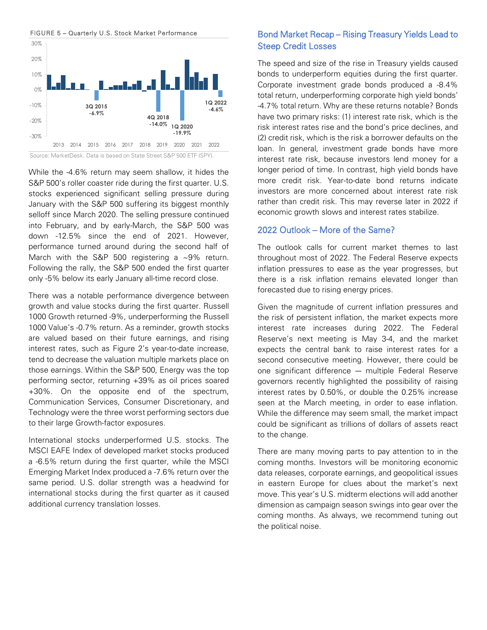



While the -4.6% return may seem shallow, it hides the S&P 500's roller coaster ride during the first quarter. U.S. stocks experienced significant selling pressure during January with the S&P 500 suffering its biggest monthly selloff since March 2020. The selling pressure continued into February, and by early-March, the S&P 500 was down -12.5% since the end of 2021. However, performance turned around during the second half of March with the S&P 500 registering a ~9% return. Following the rally, the S&P 500 ended the first quarter only -5% below its early January all-time record close.

There was a notable performance divergence between growth and value stocks during the first quarter. Russell 1000 Growth returned -9%, underperforming the Russell 1000 Value's -0.7% return. As a reminder, growth stocks are valued based on their future earnings, and rising interest rates, such as Figure 2's year-to-date increase, tend to decrease the valuation multiple markets place on those earnings. Within the S&P 500, Energy was the top performing sector, returning +39% as oil prices soared +30%. On the opposite end of the spectrum, Communication Services, Consumer Discretionary, and Technology were the three worst performing sectors due to their large Growth-factor exposures.

International stocks underperformed U.S. stocks. The MSCI EAFE Index of developed market stocks produced a -6.5% return during the first quarter, while the MSCI Emerging Market Index produced a -7.6% return over the same period. U.S. dollar strength was a headwind for international stocks during the first quarter as it caused additional currency translation losses.

# Bond Market Recap – Rising Treasury Yields Lead to Steep Credit Losses

The speed and size of the rise in Treasury yields caused bonds to underperform equities during the first quarter. Corporate investment grade bonds produced a -8.4% total return, underperforming corporate high yield bonds' -4.7% total return. Why are these returns notable? Bonds have two primary risks: (1) interest rate risk, which is the risk interest rates rise and the bond's price declines, and (2) credit risk, which is the risk a borrower defaults on the loan. In general, investment grade bonds have more interest rate risk, because investors lend money for a longer period of time. In contrast, high yield bonds have more credit risk. Year-to-date bond returns indicate investors are more concerned about interest rate risk rather than credit risk. This may reverse later in 2022 if economic growth slows and interest rates stabilize.

## 2022 Outlook – More of the Same?

The outlook calls for current market themes to last throughout most of 2022. The Federal Reserve expects inflation pressures to ease as the year progresses, but there is a risk inflation remains elevated longer than forecasted due to rising energy prices.

Given the magnitude of current inflation pressures and the risk of persistent inflation, the market expects more interest rate increases during 2022. The Federal Reserve's next meeting is May 3-4, and the market expects the central bank to raise interest rates for a second consecutive meeting. However, there could be one significant difference ― multiple Federal Reserve governors recently highlighted the possibility of raising interest rates by 0.50%, or double the 0.25% increase seen at the March meeting, in order to ease inflation. While the difference may seem small, the market impact could be significant as trillions of dollars of assets react to the change.

There are many moving parts to pay attention to in the coming months. Investors will be monitoring economic data releases, corporate earnings, and geopolitical issues in eastern Europe for clues about the market's next move. This year's U.S. midterm elections will add another dimension as campaign season swings into gear over the coming months. As always, we recommend tuning out the political noise.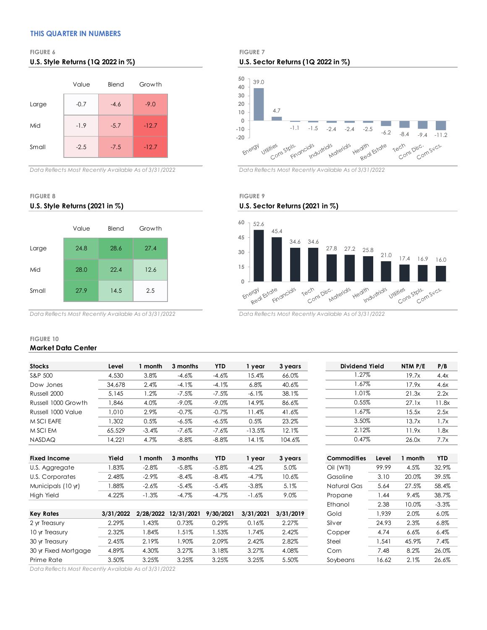### **THIS QUARTER IN NUMBERS**



*Data Reflects Most Recently Available As of 3/31/2022 Data Reflects Most Recently Available As of 3/31/2022*

**U.S. Style Returns (2021 in %) U.S. Sector Returns (2021 in %)**



**FIGURE 6 FIGURE 7 U.S. Style Returns (1Q 2022 in %) U.S. Sector Returns (1Q 2022 in %)**



# **FIGURE 8 FIGURE 9**



*Data Reflects Most Recently Available As of 3/31/2022 Data Reflects Most Recently Available As of 3/31/2022*

### **FIGURE 10 Market Data Center**

| <b>Stocks</b>       | Level  | month   | 3 months | <b>YTD</b> | 1 year   | 3 years | Dividend Yield | NTM P/E | P/B  |
|---------------------|--------|---------|----------|------------|----------|---------|----------------|---------|------|
| S&P 500             | 4.530  | 3.8%    | $-4.6%$  | $-4.6\%$   | 15.4%    | 66.0%   | .27%           | 19.7x   | 4.4x |
| Dow Jones           | 34,678 | 2.4%    | $-4.1%$  | $-4.1%$    | 6.8%     | 40.6%   | $1.67\%$       | 17.9x   | 4.6x |
| Russell 2000        | 5.145  | $.2\%$  | $-7.5%$  | $-7.5%$    | $-6.1%$  | 38.1%   | $1.01\%$       | 21.3x   | 2.2x |
| Russell 1000 Growth | ,846   | 4.0%    | $-9.0\%$ | $-9.0\%$   | 14.9%    | 86.6%   | 0.55%          | 27.1x   | 1.8x |
| Russell 1000 Value  | .010   | 2.9%    | $-0.7%$  | $-0.7%$    | 11.4%    | 41.6%   | 1.67%          | 15.5x   | 2.5x |
| M SCI EAFE          | .302   | 0.5%    | $-6.5%$  | $-6.5%$    | 0.5%     | 23.2%   | 3.50%          | 13.7x   | 1.7x |
| M SCI EM            | 65.529 | $-3.4%$ | $-7.6%$  | $-7.6%$    | $-13.5%$ | 12.1%   | 2.12%          | 11.9x   | .8x  |
| <b>NASDAQ</b>       | 14.221 | 4.7%    | $-8.8\%$ | $-8.8\%$   | 14.1%    | 104.6%  | 0.47%          | 26.0x   | 7.7x |
|                     |        |         |          |            |          |         |                |         |      |

| <b>Fixed Income</b> | Yield | month      | 3 months | YTD      | vear     | 3 vears | Commodities | Level | ' month⊹ | <b>YTD</b> |
|---------------------|-------|------------|----------|----------|----------|---------|-------------|-------|----------|------------|
| U.S. Aggregate      | .83%  | $-2.8\%$   | $-5.8%$  | $-5.8%$  | $-4.2%$  | 5.0%    | Oil (WTI)   | 99.99 | 4.5%     | 32.9%      |
| U.S. Corporates     | 2.48% | $-2.9\%$   | $-8.4%$  | $-8.4%$  | $-4.7\%$ | 10.6%   | Gasoline    | 3.10  | 20.0%    | 39.5%      |
| Municipals (10 yr)  | .88%  | $-2.6%$    | $-5.4%$  | $-5.4%$  | $-3.8\%$ | 5.1%    | Natural Gas | 5.64  | 27.5%    | 58.4%      |
| <b>High Yield</b>   | 4.22% | .3%<br>- 1 | $-4.7%$  | $-4.7\%$ | $-1.6%$  | 9.0%    | Propane     | .44   | 9.4%     | 38.7%      |

| Key Rates            | 3/31/2022 |       | 2/28/2022 12/31/2021 | 9/30/2021 | 3/31/2021 | 3/31/2019 | Gold     | .939  | 2.0%    | 6.0%    |
|----------------------|-----------|-------|----------------------|-----------|-----------|-----------|----------|-------|---------|---------|
| 2 yr Treasury        | 2.29%     | .43%  | 0.73%                | 0.29%     | 0.16%     | 2.27%     | Silver   | 24.93 | 2.3%    | 6.8%    |
| 10 yr Treasury       | 2.32%     | .84%  | .51%                 | .53%      | .74%      | 2.42%     | Copper   | 4.74  | $6.6\%$ | 6.4%    |
| 30 yr Treasury       | 2.45%     | 2.19% | .90%                 | 2.09%     | 2.42%     | 2.82%     | Steel    | .541  | 45.9%   | $7.4\%$ |
| 30 yr Fixed Mortgage | 4.89%     | 4.30% | 3.27%                | 3.18%     | 3.27%     | 4.08%     | Corn     | 7.48  | 8.2%    | 26.0%   |
| Prime Rate           | 3.50%     | 3.25% | 3.25%                | 3.25%     | 3.25%     | 5.50%     | Soybeans | 16.62 | $2.1\%$ | 26.6%   |

| Dividend Yield | NTM P/E | P/B   |
|----------------|---------|-------|
| 1.27%          | 19.7x   | 4.4x  |
| 1.67%          | 17.9x   | 4.6x  |
| 1.01%          | 21.3x   | 2.2x  |
| 0.55%          | 27.1x   | 11.8x |
| 1.67%          | 15.5x   | 2.5x  |
| 3.50%          | 13.7x   | 1.7x  |
| 2.12%          | 11.9x   | 1.8x  |
| 0.47%          | 26.0x   | 7.7x  |

| Commodities | Level | 1 month | <b>YTD</b> |
|-------------|-------|---------|------------|
| Oil (WTI)   | 99.99 | 4.5%    | 32.9%      |
| Gasoline    | 3.10  | 20.0%   | 39.5%      |
| Natural Gas | 5.64  | 27.5%   | 58.4%      |
| Propane     | 1.44  | 9.4%    | 38.7%      |
| Ethanol     | 2.38  | 10.0%   | $-3.3\%$   |
| Gold        | 1.939 | 2.0%    | $6.0\%$    |
| Silver      | 24.93 | 2.3%    | $6.8\%$    |
| Copper      | 4.74  | 6.6%    | 6.4%       |
| Steel       | 1.541 | 45.9%   | 7.4%       |
| Corn        | 7.48  | 8.2%    | 26.0%      |
| Soybeans    | 16.62 | 2.1%    | 26.6%      |

*Data Reflects Most Recently Available As of 3/31/2022*